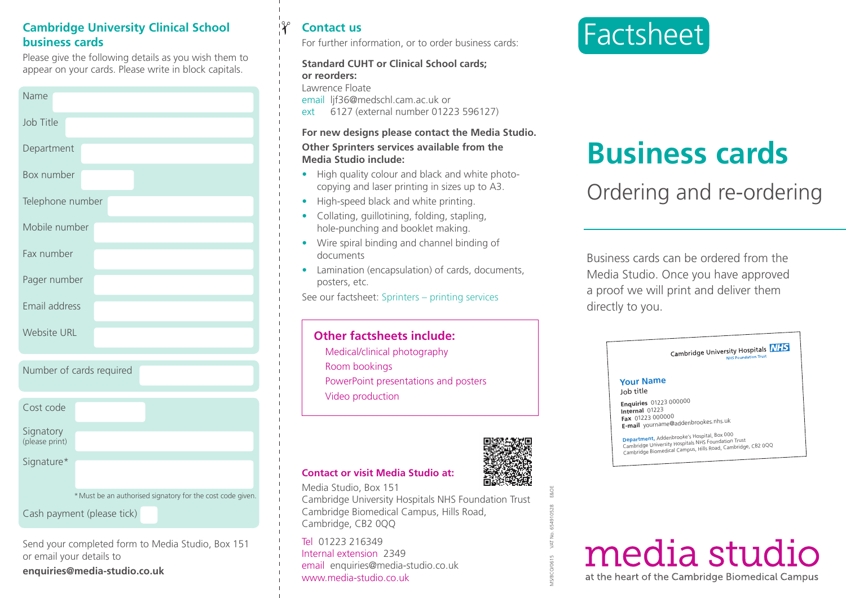## **Cambridge University Clinical School business cards**

Please give the following details as you wish them to appear on your cards. Please write in block capitals.

| Name               |
|--------------------|
| Job Title          |
| Department         |
| Box number         |
| Telephone number   |
| Mobile number      |
| Fax number         |
| Pager number       |
| Email address      |
| <b>Website URL</b> |

|  |  | Number of cards required |  |
|--|--|--------------------------|--|
|  |  |                          |  |

| Cost code                   |                                                            |
|-----------------------------|------------------------------------------------------------|
| Signatory<br>(please print) |                                                            |
| Signature*                  |                                                            |
|                             | * Must be an authorised signatory for the cost code given. |
|                             | Cash payment (please tick)                                 |

Send your completed form to Media Studio, Box 151 or email your details to

**enquiries@media-studio.co.uk**

# **Contact us**

✁

For further information, or to order business cards:

### **Standard CUHT or Clinical School cards; or reorders:**

Lawrence Floate

email lif36@medschl.cam.ac.uk or

ext 6127 (external number 01223 596127)

### **For new designs please contact the Media Studio.**

#### **Other Sprinters services available from the Media Studio include:**

- **•** High quality colour and black and white photocopying and laser printing in sizes up to A3.
- High-speed black and white printing.
- Collating, guillotining, folding, stapling, hole-punching and booklet making.
- Wire spiral binding and channel binding of documents
- Lamination (encapsulation) of cards, documents, posters, etc.

See our factsheet: Sprinters – printing services

# **Other factsheets include:**

Medical/clinical photography Room bookings PowerPoint presentations and posters Video production



MS/BCO/0615 VAT No. 654910528 E&OE

### **Contact or visit Media Studio at:**

Media Studio, Box 151 Cambridge University Hospitals NHS Foundation Trust Cambridge Biomedical Campus, Hills Road, Cambridge, CB2 0QQ

Tel 01223 216349 Internal extension 2349 email enquiries@media-studio.co.uk www.media-studio.co.uk



# **Business cards**

Ordering and re-ordering

Business cards can be ordered from the Media Studio. Once you have approved a proof we will print and deliver them directly to you.

|                                                                     | Cambridge University Hospitals <b>NHS</b><br><b>NHS Foundation Trust</b>                                                                                          |
|---------------------------------------------------------------------|-------------------------------------------------------------------------------------------------------------------------------------------------------------------|
| <b>Your Name</b><br>Job title                                       |                                                                                                                                                                   |
| <b>Enquiries</b> 01223 000000<br>Internal 01223<br>Fax 01223 000000 | E-mail yourname@addenbrookes.nhs.uk                                                                                                                               |
|                                                                     | Department, Addenbrooke's Hospital, Box 000<br>Cambridge University Hospitals NHS Foundation Trust<br>Cambridge Biomedical Campus, Hills Road, Cambridge, CB2 0QQ |